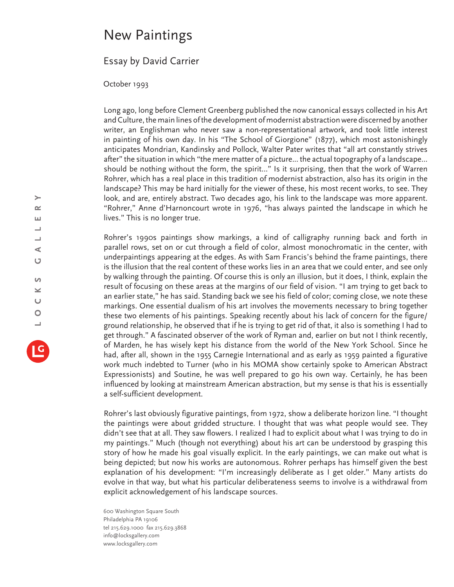## New Paintings

## Essay by David Carrier

October 1993

Long ago, long before Clement Greenberg published the now canonical essays collected in his Art and Culture, the main lines of the development of modernist abstraction were discerned by another writer, an Englishman who never saw a non-representational artwork, and took little interest in painting of his own day. In his "The School of Giorgione" (1877), which most astonishingly anticipates Mondrian, Kandinsky and Pollock, Walter Pater writes that "all art constantly strives after" the situation in which "the mere matter of a picture... the actual topography of a landscape... should be nothing without the form, the spirit…" Is it surprising, then that the work of Warren Rohrer, which has a real place in this tradition of modernist abstraction, also has its origin in the landscape? This may be hard initially for the viewer of these, his most recent works, to see. They look, and are, entirely abstract. Two decades ago, his link to the landscape was more apparent. "Rohrer," Anne d'Harnoncourt wrote in 1976, "has always painted the landscape in which he lives." This is no longer true.

Rohrer's 1990s paintings show markings, a kind of calligraphy running back and forth in parallel rows, set on or cut through a field of color, almost monochromatic in the center, with underpaintings appearing at the edges. As with Sam Francis's behind the frame paintings, there is the illusion that the real content of these works lies in an area that we could enter, and see only by walking through the painting. Of course this is only an illusion, but it does, I think, explain the result of focusing on these areas at the margins of our field of vision. "I am trying to get back to an earlier state," he has said. Standing back we see his field of color; coming close, we note these markings. One essential dualism of his art involves the movements necessary to bring together these two elements of his paintings. Speaking recently about his lack of concern for the figure/ ground relationship, he observed that if he is trying to get rid of that, it also is something I had to get through." A fascinated observer of the work of Ryman and, earlier on but not I think recently, of Marden, he has wisely kept his distance from the world of the New York School. Since he had, after all, shown in the 1955 Carnegie International and as early as 1959 painted a figurative work much indebted to Turner (who in his MOMA show certainly spoke to American Abstract Expressionists) and Soutine, he was well prepared to go his own way. Certainly, he has been influenced by looking at mainstream American abstraction, but my sense is that his is essentially a self-sufficient development.

Rohrer's last obviously figurative paintings, from 1972, show a deliberate horizon line. "I thought the paintings were about gridded structure. I thought that was what people would see. They didn't see that at all. They saw flowers. I realized I had to explicit about what I was trying to do in my paintings." Much (though not everything) about his art can be understood by grasping this story of how he made his goal visually explicit. In the early paintings, we can make out what is being depicted; but now his works are autonomous. Rohrer perhaps has himself given the best explanation of his development: "I'm increasingly deliberate as I get older." Many artists do evolve in that way, but what his particular deliberateness seems to involve is a withdrawal from explicit acknowledgement of his landscape sources.

600 Washington Square South Philadelphia PA 19106 tel 215.629.1000 fax 215.629.3868 info@locksgallery.com www.locksgallery.com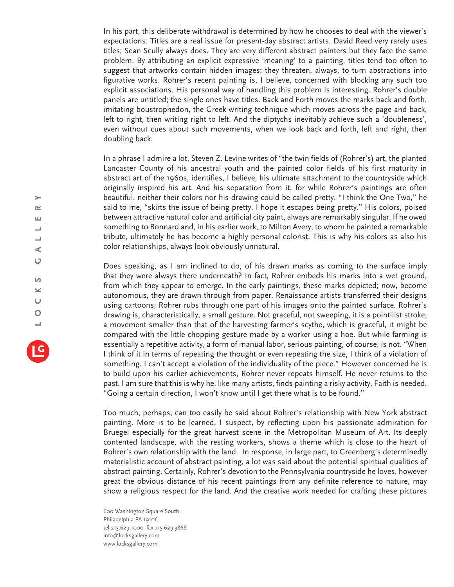In his part, this deliberate withdrawal is determined by how he chooses to deal with the viewer's expectations. Titles are a real issue for present-day abstract artists. David Reed very rarely uses titles; Sean Scully always does. They are very different abstract painters but they face the same problem. By attributing an explicit expressive 'meaning' to a painting, titles tend too often to suggest that artworks contain hidden images; they threaten, always, to turn abstractions into figurative works. Rohrer's recent painting is, I believe, concerned with blocking any such too explicit associations. His personal way of handling this problem is interesting. Rohrer's double panels are untitled; the single ones have titles. Back and Forth moves the marks back and forth, imitating boustrophedon, the Greek writing technique which moves across the page and back, left to right, then writing right to left. And the diptychs inevitably achieve such a 'doubleness', even without cues about such movements, when we look back and forth, left and right, then doubling back.

In a phrase I admire a lot, Steven Z. Levine writes of "the twin fields of (Rohrer's) art, the planted Lancaster County of his ancestral youth and the painted color fields of his first maturity in abstract art of the 1960s, identifies, I believe, his ultimate attachment to the countryside which originally inspired his art. And his separation from it, for while Rohrer's paintings are often beautiful, neither their colors nor his drawing could be called pretty. "I think the One Two," he said to me, "skirts the issue of being pretty. I hope it escapes being pretty." His colors, poised between attractive natural color and artificial city paint, always are remarkably singular. If he owed something to Bonnard and, in his earlier work, to Milton Avery, to whom he painted a remarkable tribute, ultimately he has become a highly personal colorist. This is why his colors as also his color relationships, always look obviously unnatural.

Does speaking, as I am inclined to do, of his drawn marks as coming to the surface imply that they were always there underneath? In fact, Rohrer embeds his marks into a wet ground, from which they appear to emerge. In the early paintings, these marks depicted; now, become autonomous, they are drawn through from paper. Renaissance artists transferred their designs using cartoons; Rohrer rubs through one part of his images onto the painted surface. Rohrer's drawing is, characteristically, a small gesture. Not graceful, not sweeping, it is a pointilist stroke; a movement smaller than that of the harvesting farmer's scythe, which is graceful, it might be compared with the little chopping gesture made by a worker using a hoe. But while farming is essentially a repetitive activity, a form of manual labor, serious painting, of course, is not. "When I think of it in terms of repeating the thought or even repeating the size, I think of a violation of something. I can't accept a violation of the individuality of the piece." However concerned he is to build upon his earlier achievements, Rohrer never repeats himself. He never returns to the past. I am sure that this is why he, like many artists, finds painting a risky activity. Faith is needed. "Going a certain direction, I won't know until I get there what is to be found."

Too much, perhaps, can too easily be said about Rohrer's relationship with New York abstract painting. More is to be learned, I suspect, by reflecting upon his passionate admiration for Bruegel especially for the great harvest scene in the Metropolitan Museum of Art. Its deeply contented landscape, with the resting workers, shows a theme which is close to the heart of Rohrer's own relationship with the land. In response, in large part, to Greenberg's determinedly materialistic account of abstract painting, a lot was said about the potential spiritual qualities of abstract painting. Certainly, Rohrer's devotion to the Pennsylvania countryside he loves, however great the obvious distance of his recent paintings from any definite reference to nature, may show a religious respect for the land. And the creative work needed for crafting these pictures

600 Washington Square South Philadelphia PA 19106 tel 215.629.1000 fax 215.629.3868 info@locksgallery.com www.locksgallery.com